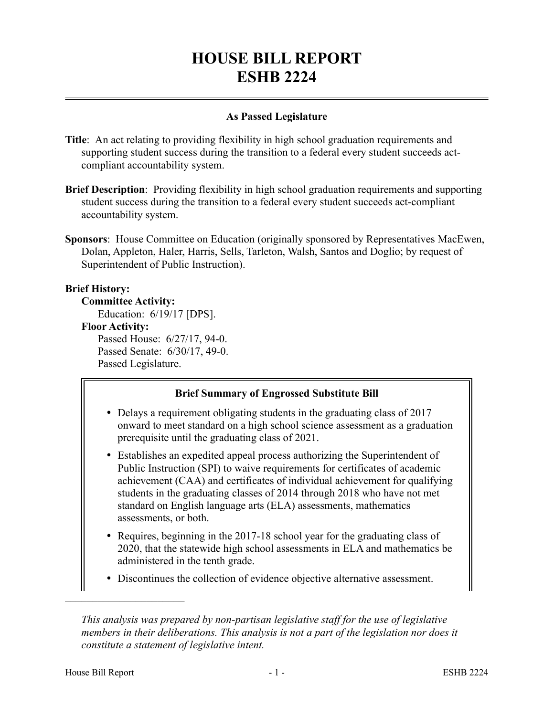# **HOUSE BILL REPORT ESHB 2224**

## **As Passed Legislature**

- **Title**: An act relating to providing flexibility in high school graduation requirements and supporting student success during the transition to a federal every student succeeds actcompliant accountability system.
- **Brief Description**: Providing flexibility in high school graduation requirements and supporting student success during the transition to a federal every student succeeds act-compliant accountability system.
- **Sponsors**: House Committee on Education (originally sponsored by Representatives MacEwen, Dolan, Appleton, Haler, Harris, Sells, Tarleton, Walsh, Santos and Doglio; by request of Superintendent of Public Instruction).

## **Brief History:**

#### **Committee Activity:**

Education: 6/19/17 [DPS].

**Floor Activity:**

Passed House: 6/27/17, 94-0. Passed Senate: 6/30/17, 49-0. Passed Legislature.

## **Brief Summary of Engrossed Substitute Bill**

- Delays a requirement obligating students in the graduating class of 2017 onward to meet standard on a high school science assessment as a graduation prerequisite until the graduating class of 2021.
- Establishes an expedited appeal process authorizing the Superintendent of Public Instruction (SPI) to waive requirements for certificates of academic achievement (CAA) and certificates of individual achievement for qualifying students in the graduating classes of 2014 through 2018 who have not met standard on English language arts (ELA) assessments, mathematics assessments, or both.
- Requires, beginning in the 2017-18 school year for the graduating class of 2020, that the statewide high school assessments in ELA and mathematics be administered in the tenth grade.
- Discontinues the collection of evidence objective alternative assessment.

––––––––––––––––––––––

*This analysis was prepared by non-partisan legislative staff for the use of legislative members in their deliberations. This analysis is not a part of the legislation nor does it constitute a statement of legislative intent.*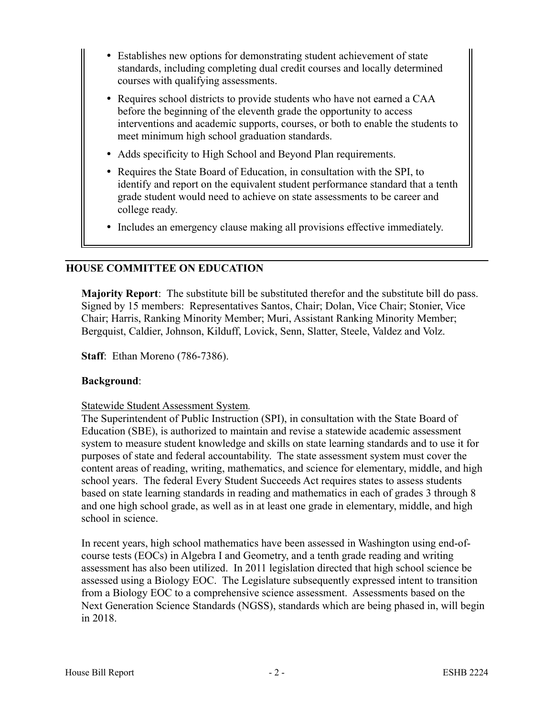- Establishes new options for demonstrating student achievement of state standards, including completing dual credit courses and locally determined courses with qualifying assessments.
- Requires school districts to provide students who have not earned a CAA before the beginning of the eleventh grade the opportunity to access interventions and academic supports, courses, or both to enable the students to meet minimum high school graduation standards.
- Adds specificity to High School and Beyond Plan requirements.
- Requires the State Board of Education, in consultation with the SPI, to identify and report on the equivalent student performance standard that a tenth grade student would need to achieve on state assessments to be career and college ready.
- Includes an emergency clause making all provisions effective immediately.

## **HOUSE COMMITTEE ON EDUCATION**

**Majority Report**: The substitute bill be substituted therefor and the substitute bill do pass. Signed by 15 members: Representatives Santos, Chair; Dolan, Vice Chair; Stonier, Vice Chair; Harris, Ranking Minority Member; Muri, Assistant Ranking Minority Member; Bergquist, Caldier, Johnson, Kilduff, Lovick, Senn, Slatter, Steele, Valdez and Volz.

**Staff**: Ethan Moreno (786-7386).

## **Background**:

#### Statewide Student Assessment System*.*

The Superintendent of Public Instruction (SPI), in consultation with the State Board of Education (SBE), is authorized to maintain and revise a statewide academic assessment system to measure student knowledge and skills on state learning standards and to use it for purposes of state and federal accountability. The state assessment system must cover the content areas of reading, writing, mathematics, and science for elementary, middle, and high school years. The federal Every Student Succeeds Act requires states to assess students based on state learning standards in reading and mathematics in each of grades 3 through 8 and one high school grade, as well as in at least one grade in elementary, middle, and high school in science.

In recent years, high school mathematics have been assessed in Washington using end-ofcourse tests (EOCs) in Algebra I and Geometry, and a tenth grade reading and writing assessment has also been utilized. In 2011 legislation directed that high school science be assessed using a Biology EOC. The Legislature subsequently expressed intent to transition from a Biology EOC to a comprehensive science assessment. Assessments based on the Next Generation Science Standards (NGSS), standards which are being phased in, will begin in 2018.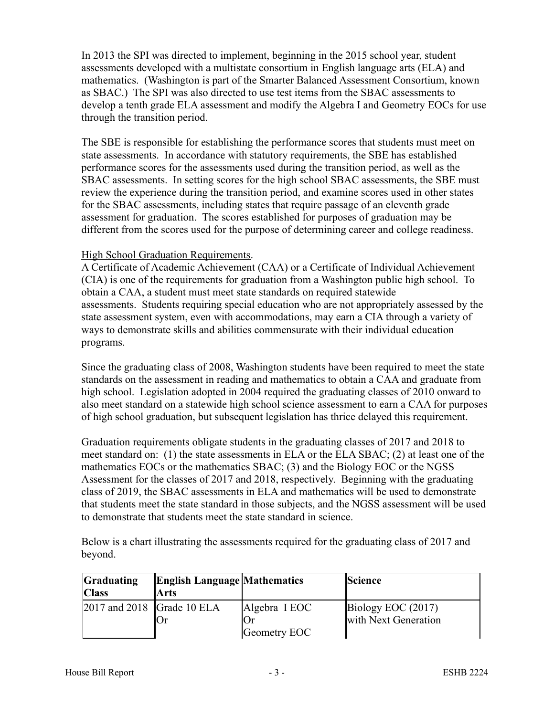In 2013 the SPI was directed to implement, beginning in the 2015 school year, student assessments developed with a multistate consortium in English language arts (ELA) and mathematics. (Washington is part of the Smarter Balanced Assessment Consortium, known as SBAC.) The SPI was also directed to use test items from the SBAC assessments to develop a tenth grade ELA assessment and modify the Algebra I and Geometry EOCs for use through the transition period.

The SBE is responsible for establishing the performance scores that students must meet on state assessments. In accordance with statutory requirements, the SBE has established performance scores for the assessments used during the transition period, as well as the SBAC assessments. In setting scores for the high school SBAC assessments, the SBE must review the experience during the transition period, and examine scores used in other states for the SBAC assessments, including states that require passage of an eleventh grade assessment for graduation. The scores established for purposes of graduation may be different from the scores used for the purpose of determining career and college readiness.

#### High School Graduation Requirements.

A Certificate of Academic Achievement (CAA) or a Certificate of Individual Achievement (CIA) is one of the requirements for graduation from a Washington public high school. To obtain a CAA, a student must meet state standards on required statewide assessments. Students requiring special education who are not appropriately assessed by the state assessment system, even with accommodations, may earn a CIA through a variety of ways to demonstrate skills and abilities commensurate with their individual education programs.

Since the graduating class of 2008, Washington students have been required to meet the state standards on the assessment in reading and mathematics to obtain a CAA and graduate from high school. Legislation adopted in 2004 required the graduating classes of 2010 onward to also meet standard on a statewide high school science assessment to earn a CAA for purposes of high school graduation, but subsequent legislation has thrice delayed this requirement.

Graduation requirements obligate students in the graduating classes of 2017 and 2018 to meet standard on: (1) the state assessments in ELA or the ELA SBAC; (2) at least one of the mathematics EOCs or the mathematics SBAC; (3) and the Biology EOC or the NGSS Assessment for the classes of 2017 and 2018, respectively. Beginning with the graduating class of 2019, the SBAC assessments in ELA and mathematics will be used to demonstrate that students meet the state standard in those subjects, and the NGSS assessment will be used to demonstrate that students meet the state standard in science.

Below is a chart illustrating the assessments required for the graduating class of 2017 and beyond.

| <b>Graduating</b>                                 | <b>English Language Mathematics</b> |               | <b>Science</b>       |
|---------------------------------------------------|-------------------------------------|---------------|----------------------|
| <b>Class</b>                                      | Arts                                |               |                      |
| $\left 2017\right\rangle$ and $2018$ Grade 10 ELA |                                     | Algebra I EOC | Biology EOC (2017)   |
|                                                   | Or                                  |               | with Next Generation |
|                                                   |                                     | Geometry EOC  |                      |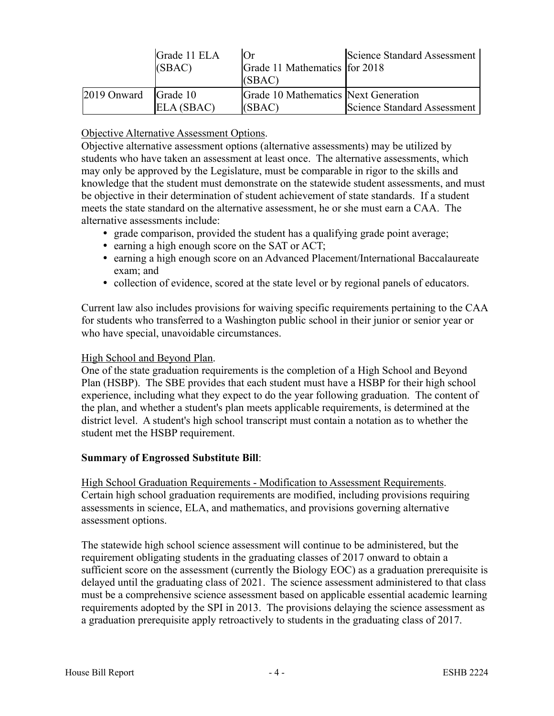|                        | Grade 11 ELA<br>(SBAC) | Юr<br>Grade 11 Mathematics for 2018<br>(SBAC)  | Science Standard Assessment |
|------------------------|------------------------|------------------------------------------------|-----------------------------|
| $2019$ Onward Grade 10 | ELA(SBAC)              | Grade 10 Mathematics Next Generation<br>(SBAC) | Science Standard Assessment |

## Objective Alternative Assessment Options.

Objective alternative assessment options (alternative assessments) may be utilized by students who have taken an assessment at least once. The alternative assessments, which may only be approved by the Legislature, must be comparable in rigor to the skills and knowledge that the student must demonstrate on the statewide student assessments, and must be objective in their determination of student achievement of state standards. If a student meets the state standard on the alternative assessment, he or she must earn a CAA. The alternative assessments include:

- grade comparison, provided the student has a qualifying grade point average;
- earning a high enough score on the SAT or ACT;
- earning a high enough score on an Advanced Placement/International Baccalaureate exam; and
- collection of evidence, scored at the state level or by regional panels of educators.

Current law also includes provisions for waiving specific requirements pertaining to the CAA for students who transferred to a Washington public school in their junior or senior year or who have special, unavoidable circumstances.

#### High School and Beyond Plan.

One of the state graduation requirements is the completion of a High School and Beyond Plan (HSBP). The SBE provides that each student must have a HSBP for their high school experience, including what they expect to do the year following graduation. The content of the plan, and whether a student's plan meets applicable requirements, is determined at the district level. A student's high school transcript must contain a notation as to whether the student met the HSBP requirement.

## **Summary of Engrossed Substitute Bill**:

High School Graduation Requirements - Modification to Assessment Requirements. Certain high school graduation requirements are modified, including provisions requiring assessments in science, ELA, and mathematics, and provisions governing alternative assessment options.

The statewide high school science assessment will continue to be administered, but the requirement obligating students in the graduating classes of 2017 onward to obtain a sufficient score on the assessment (currently the Biology EOC) as a graduation prerequisite is delayed until the graduating class of 2021. The science assessment administered to that class must be a comprehensive science assessment based on applicable essential academic learning requirements adopted by the SPI in 2013. The provisions delaying the science assessment as a graduation prerequisite apply retroactively to students in the graduating class of 2017.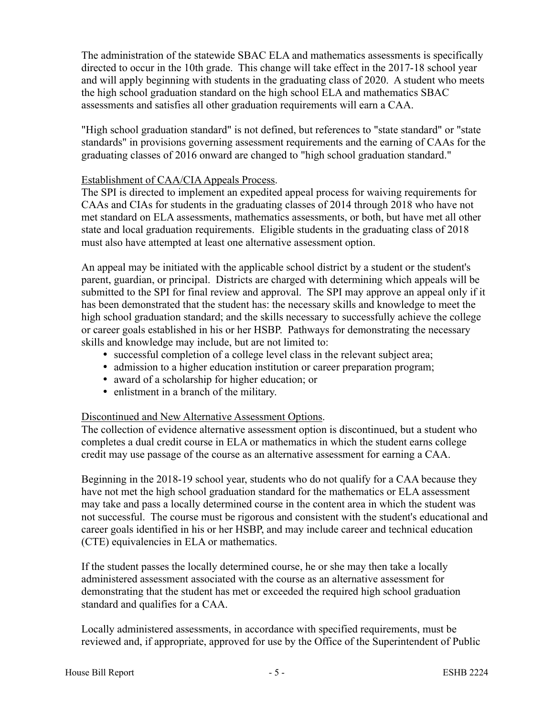The administration of the statewide SBAC ELA and mathematics assessments is specifically directed to occur in the 10th grade. This change will take effect in the 2017-18 school year and will apply beginning with students in the graduating class of 2020. A student who meets the high school graduation standard on the high school ELA and mathematics SBAC assessments and satisfies all other graduation requirements will earn a CAA.

"High school graduation standard" is not defined, but references to "state standard" or "state standards" in provisions governing assessment requirements and the earning of CAAs for the graduating classes of 2016 onward are changed to "high school graduation standard."

#### Establishment of CAA/CIA Appeals Process.

The SPI is directed to implement an expedited appeal process for waiving requirements for CAAs and CIAs for students in the graduating classes of 2014 through 2018 who have not met standard on ELA assessments, mathematics assessments, or both, but have met all other state and local graduation requirements. Eligible students in the graduating class of 2018 must also have attempted at least one alternative assessment option.

An appeal may be initiated with the applicable school district by a student or the student's parent, guardian, or principal. Districts are charged with determining which appeals will be submitted to the SPI for final review and approval. The SPI may approve an appeal only if it has been demonstrated that the student has: the necessary skills and knowledge to meet the high school graduation standard; and the skills necessary to successfully achieve the college or career goals established in his or her HSBP. Pathways for demonstrating the necessary skills and knowledge may include, but are not limited to:

- successful completion of a college level class in the relevant subject area;
- admission to a higher education institution or career preparation program;
- award of a scholarship for higher education; or
- enlistment in a branch of the military.

#### Discontinued and New Alternative Assessment Options.

The collection of evidence alternative assessment option is discontinued, but a student who completes a dual credit course in ELA or mathematics in which the student earns college credit may use passage of the course as an alternative assessment for earning a CAA.

Beginning in the 2018-19 school year, students who do not qualify for a CAA because they have not met the high school graduation standard for the mathematics or ELA assessment may take and pass a locally determined course in the content area in which the student was not successful. The course must be rigorous and consistent with the student's educational and career goals identified in his or her HSBP, and may include career and technical education (CTE) equivalencies in ELA or mathematics.

If the student passes the locally determined course, he or she may then take a locally administered assessment associated with the course as an alternative assessment for demonstrating that the student has met or exceeded the required high school graduation standard and qualifies for a CAA.

Locally administered assessments, in accordance with specified requirements, must be reviewed and, if appropriate, approved for use by the Office of the Superintendent of Public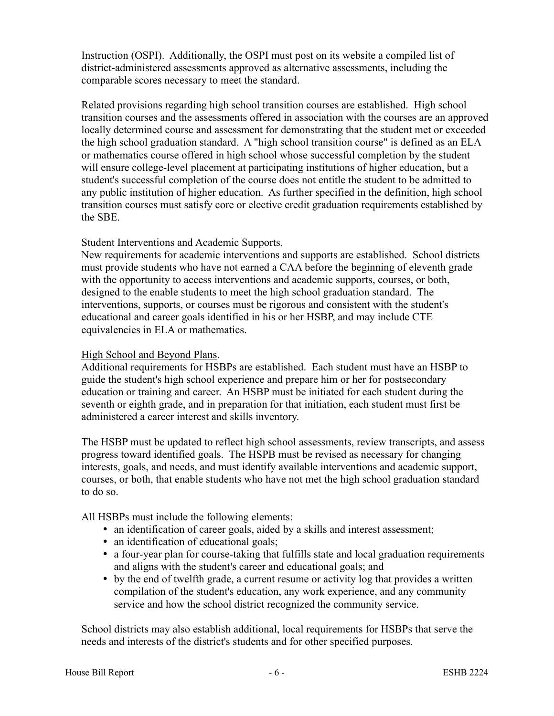Instruction (OSPI). Additionally, the OSPI must post on its website a compiled list of district-administered assessments approved as alternative assessments, including the comparable scores necessary to meet the standard.

Related provisions regarding high school transition courses are established. High school transition courses and the assessments offered in association with the courses are an approved locally determined course and assessment for demonstrating that the student met or exceeded the high school graduation standard. A "high school transition course" is defined as an ELA or mathematics course offered in high school whose successful completion by the student will ensure college-level placement at participating institutions of higher education, but a student's successful completion of the course does not entitle the student to be admitted to any public institution of higher education. As further specified in the definition, high school transition courses must satisfy core or elective credit graduation requirements established by the SBE.

#### Student Interventions and Academic Supports.

New requirements for academic interventions and supports are established. School districts must provide students who have not earned a CAA before the beginning of eleventh grade with the opportunity to access interventions and academic supports, courses, or both, designed to the enable students to meet the high school graduation standard. The interventions, supports, or courses must be rigorous and consistent with the student's educational and career goals identified in his or her HSBP, and may include CTE equivalencies in ELA or mathematics.

#### High School and Beyond Plans.

Additional requirements for HSBPs are established. Each student must have an HSBP to guide the student's high school experience and prepare him or her for postsecondary education or training and career. An HSBP must be initiated for each student during the seventh or eighth grade, and in preparation for that initiation, each student must first be administered a career interest and skills inventory.

The HSBP must be updated to reflect high school assessments, review transcripts, and assess progress toward identified goals. The HSPB must be revised as necessary for changing interests, goals, and needs, and must identify available interventions and academic support, courses, or both, that enable students who have not met the high school graduation standard to do so.

All HSBPs must include the following elements:

- an identification of career goals, aided by a skills and interest assessment;
- an identification of educational goals;
- a four-year plan for course-taking that fulfills state and local graduation requirements and aligns with the student's career and educational goals; and
- by the end of twelfth grade, a current resume or activity log that provides a written compilation of the student's education, any work experience, and any community service and how the school district recognized the community service.

School districts may also establish additional, local requirements for HSBPs that serve the needs and interests of the district's students and for other specified purposes.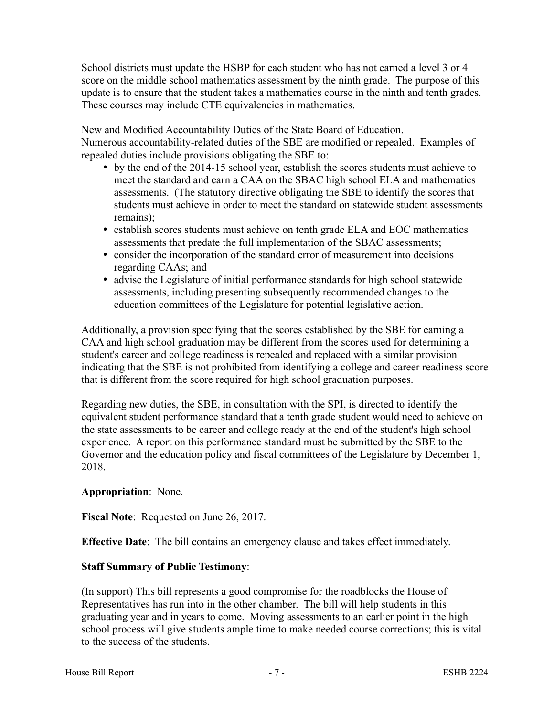School districts must update the HSBP for each student who has not earned a level 3 or 4 score on the middle school mathematics assessment by the ninth grade. The purpose of this update is to ensure that the student takes a mathematics course in the ninth and tenth grades. These courses may include CTE equivalencies in mathematics.

New and Modified Accountability Duties of the State Board of Education.

Numerous accountability-related duties of the SBE are modified or repealed. Examples of repealed duties include provisions obligating the SBE to:

- by the end of the 2014-15 school year, establish the scores students must achieve to meet the standard and earn a CAA on the SBAC high school ELA and mathematics assessments. (The statutory directive obligating the SBE to identify the scores that students must achieve in order to meet the standard on statewide student assessments remains);
- establish scores students must achieve on tenth grade ELA and EOC mathematics assessments that predate the full implementation of the SBAC assessments;
- consider the incorporation of the standard error of measurement into decisions regarding CAAs; and
- advise the Legislature of initial performance standards for high school statewide assessments, including presenting subsequently recommended changes to the education committees of the Legislature for potential legislative action.

Additionally, a provision specifying that the scores established by the SBE for earning a CAA and high school graduation may be different from the scores used for determining a student's career and college readiness is repealed and replaced with a similar provision indicating that the SBE is not prohibited from identifying a college and career readiness score that is different from the score required for high school graduation purposes.

Regarding new duties, the SBE, in consultation with the SPI, is directed to identify the equivalent student performance standard that a tenth grade student would need to achieve on the state assessments to be career and college ready at the end of the student's high school experience. A report on this performance standard must be submitted by the SBE to the Governor and the education policy and fiscal committees of the Legislature by December 1, 2018.

# **Appropriation**: None.

**Fiscal Note**: Requested on June 26, 2017.

**Effective Date**: The bill contains an emergency clause and takes effect immediately.

## **Staff Summary of Public Testimony**:

(In support) This bill represents a good compromise for the roadblocks the House of Representatives has run into in the other chamber. The bill will help students in this graduating year and in years to come. Moving assessments to an earlier point in the high school process will give students ample time to make needed course corrections; this is vital to the success of the students.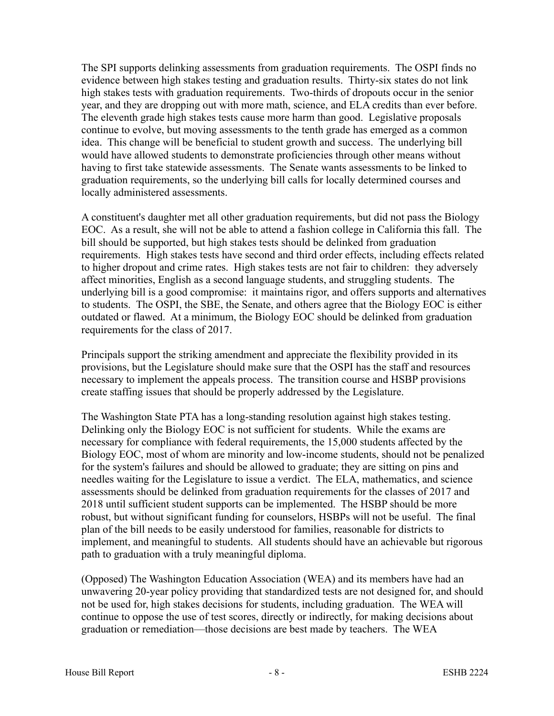The SPI supports delinking assessments from graduation requirements. The OSPI finds no evidence between high stakes testing and graduation results. Thirty-six states do not link high stakes tests with graduation requirements. Two-thirds of dropouts occur in the senior year, and they are dropping out with more math, science, and ELA credits than ever before. The eleventh grade high stakes tests cause more harm than good. Legislative proposals continue to evolve, but moving assessments to the tenth grade has emerged as a common idea. This change will be beneficial to student growth and success. The underlying bill would have allowed students to demonstrate proficiencies through other means without having to first take statewide assessments. The Senate wants assessments to be linked to graduation requirements, so the underlying bill calls for locally determined courses and locally administered assessments.

A constituent's daughter met all other graduation requirements, but did not pass the Biology EOC. As a result, she will not be able to attend a fashion college in California this fall. The bill should be supported, but high stakes tests should be delinked from graduation requirements. High stakes tests have second and third order effects, including effects related to higher dropout and crime rates. High stakes tests are not fair to children: they adversely affect minorities, English as a second language students, and struggling students. The underlying bill is a good compromise: it maintains rigor, and offers supports and alternatives to students. The OSPI, the SBE, the Senate, and others agree that the Biology EOC is either outdated or flawed. At a minimum, the Biology EOC should be delinked from graduation requirements for the class of 2017.

Principals support the striking amendment and appreciate the flexibility provided in its provisions, but the Legislature should make sure that the OSPI has the staff and resources necessary to implement the appeals process. The transition course and HSBP provisions create staffing issues that should be properly addressed by the Legislature.

The Washington State PTA has a long-standing resolution against high stakes testing. Delinking only the Biology EOC is not sufficient for students. While the exams are necessary for compliance with federal requirements, the 15,000 students affected by the Biology EOC, most of whom are minority and low-income students, should not be penalized for the system's failures and should be allowed to graduate; they are sitting on pins and needles waiting for the Legislature to issue a verdict. The ELA, mathematics, and science assessments should be delinked from graduation requirements for the classes of 2017 and 2018 until sufficient student supports can be implemented. The HSBP should be more robust, but without significant funding for counselors, HSBPs will not be useful. The final plan of the bill needs to be easily understood for families, reasonable for districts to implement, and meaningful to students. All students should have an achievable but rigorous path to graduation with a truly meaningful diploma.

(Opposed) The Washington Education Association (WEA) and its members have had an unwavering 20-year policy providing that standardized tests are not designed for, and should not be used for, high stakes decisions for students, including graduation. The WEA will continue to oppose the use of test scores, directly or indirectly, for making decisions about graduation or remediation—those decisions are best made by teachers. The WEA